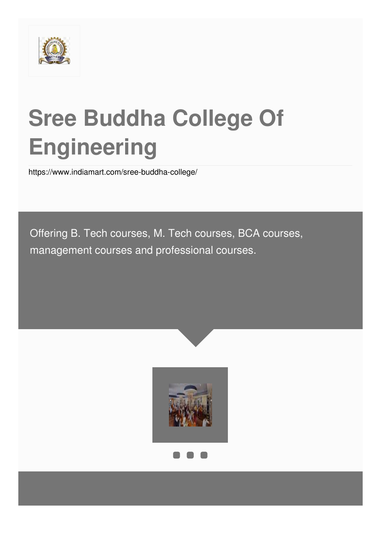

# **Sree Buddha College Of Engineering**

<https://www.indiamart.com/sree-buddha-college/>

Offering B. Tech courses, M. Tech courses, BCA courses, management courses and professional courses.



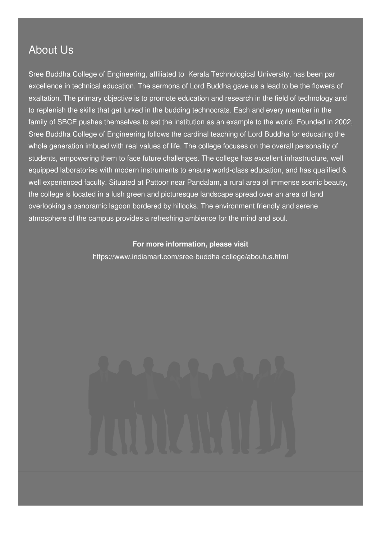### About Us

Sree Buddha College of Engineering, affiliated to Kerala Technological University, has been par excellence in technical education. The sermons of Lord Buddha gave us a lead to be the flowers of exaltation. The primary objective is to promote education and research in the field of technology and to replenish the skills that get lurked in the budding technocrats. Each and every member in the family of SBCE pushes themselves to set the institution as an example to the world. Founded in 2002, Sree Buddha College of Engineering follows the cardinal teaching of Lord Buddha for educating the whole generation imbued with real values of life. The college focuses on the overall personality of students, empowering them to face future challenges. The college has excellent infrastructure, well equipped laboratories with modern instruments to ensure world-class education, and has qualified & well experienced faculty. Situated at Pattoor near Pandalam, a rural area of immense scenic beauty, the college is located in a lush green and picturesque landscape spread over an area of land overlooking a panoramic lagoon bordered by hillocks. The environment friendly and serene atmosphere of the campus provides a refreshing ambience for the mind and soul.

### **For more information, please visit**

<https://www.indiamart.com/sree-buddha-college/aboutus.html>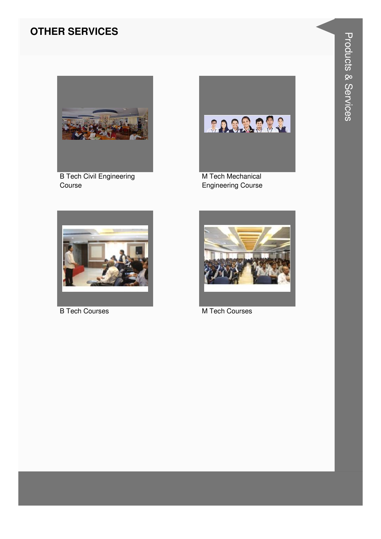### **OTHER SERVICES**



**B Tech Civil Engineering** Course



M Tech Mechanical **Engineering Course** 



**B Tech Courses** 



M Tech Courses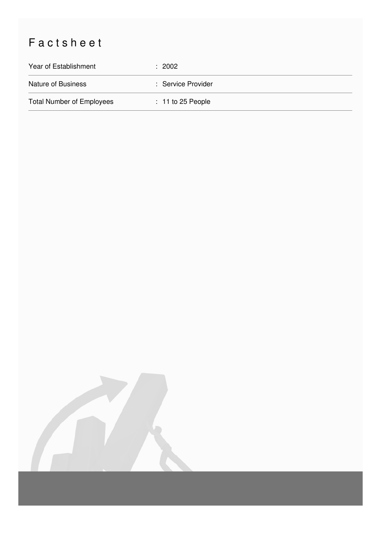## Factsheet

| Year of Establishment            | : 2002              |
|----------------------------------|---------------------|
| Nature of Business               | : Service Provider  |
| <b>Total Number of Employees</b> | $: 11$ to 25 People |